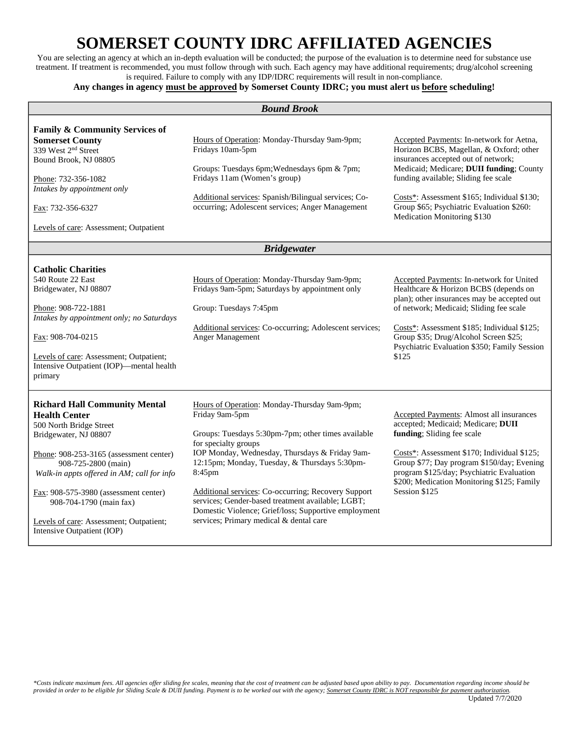## **SOMERSET COUNTY IDRC AFFILIATED AGENCIES**

You are selecting an agency at which an in-depth evaluation will be conducted; the purpose of the evaluation is to determine need for substance use treatment. If treatment is recommended, you must follow through with such. Each agency may have additional requirements; drug/alcohol screening is required. Failure to comply with any IDP/IDRC requirements will result in non-compliance.

## **Any changes in agency must be approved by Somerset County IDRC; you must alert us before scheduling!**

| <b>Bound Brook</b>                                                                                                                                                                                                                                                                                                                                                            |                                                                                                                                                                                                                                                                                                                                                                                                                                                                          |                                                                                                                                                                                                                                                                                                                                           |  |
|-------------------------------------------------------------------------------------------------------------------------------------------------------------------------------------------------------------------------------------------------------------------------------------------------------------------------------------------------------------------------------|--------------------------------------------------------------------------------------------------------------------------------------------------------------------------------------------------------------------------------------------------------------------------------------------------------------------------------------------------------------------------------------------------------------------------------------------------------------------------|-------------------------------------------------------------------------------------------------------------------------------------------------------------------------------------------------------------------------------------------------------------------------------------------------------------------------------------------|--|
| <b>Family &amp; Community Services of</b><br><b>Somerset County</b><br>339 West 2 <sup>nd</sup> Street<br>Bound Brook, NJ 08805<br>Phone: 732-356-1082<br>Intakes by appointment only<br>Fax: 732-356-6327<br>Levels of care: Assessment; Outpatient                                                                                                                          | Hours of Operation: Monday-Thursday 9am-9pm;<br>Fridays 10am-5pm<br>Groups: Tuesdays 6pm; Wednesdays 6pm & 7pm;<br>Fridays 11am (Women's group)<br>Additional services: Spanish/Bilingual services; Co-<br>occurring; Adolescent services; Anger Management                                                                                                                                                                                                              | Accepted Payments: In-network for Aetna,<br>Horizon BCBS, Magellan, & Oxford; other<br>insurances accepted out of network;<br>Medicaid; Medicare; DUII funding; County<br>funding available; Sliding fee scale<br>Costs*: Assessment \$165; Individual \$130;<br>Group \$65; Psychiatric Evaluation \$260:<br>Medication Monitoring \$130 |  |
| <b>Bridgewater</b>                                                                                                                                                                                                                                                                                                                                                            |                                                                                                                                                                                                                                                                                                                                                                                                                                                                          |                                                                                                                                                                                                                                                                                                                                           |  |
| <b>Catholic Charities</b><br>540 Route 22 East<br>Bridgewater, NJ 08807<br>Phone: 908-722-1881<br>Intakes by appointment only; no Saturdays<br>Fax: 908-704-0215<br>Levels of care: Assessment; Outpatient;<br>Intensive Outpatient (IOP)-mental health<br>primary                                                                                                            | Hours of Operation: Monday-Thursday 9am-9pm;<br>Fridays 9am-5pm; Saturdays by appointment only<br>Group: Tuesdays 7:45pm<br>Additional services: Co-occurring; Adolescent services;<br>Anger Management                                                                                                                                                                                                                                                                  | Accepted Payments: In-network for United<br>Healthcare & Horizon BCBS (depends on<br>plan); other insurances may be accepted out<br>of network; Medicaid; Sliding fee scale<br>Costs*: Assessment \$185; Individual \$125;<br>Group \$35; Drug/Alcohol Screen \$25;<br>Psychiatric Evaluation \$350; Family Session<br>\$125              |  |
| <b>Richard Hall Community Mental</b><br><b>Health Center</b><br>500 North Bridge Street<br>Bridgewater, NJ 08807<br>Phone: 908-253-3165 (assessment center)<br>908-725-2800 (main)<br>Walk-in appts offered in AM; call for info<br>Fax: 908-575-3980 (assessment center)<br>908-704-1790 (main fax)<br>Levels of care: Assessment; Outpatient;<br>Intensive Outpatient (IOP) | Hours of Operation: Monday-Thursday 9am-9pm;<br>Friday 9am-5pm<br>Groups: Tuesdays 5:30pm-7pm; other times available<br>for specialty groups<br>IOP Monday, Wednesday, Thursdays & Friday 9am-<br>12:15pm; Monday, Tuesday, & Thursdays 5:30pm-<br>8:45pm<br>Additional services: Co-occurring; Recovery Support<br>services; Gender-based treatment available; LGBT;<br>Domestic Violence; Grief/loss; Supportive employment<br>services; Primary medical & dental care | Accepted Payments: Almost all insurances<br>accepted; Medicaid; Medicare; DUII<br>funding; Sliding fee scale<br>Costs*: Assessment \$170; Individual \$125;<br>Group \$77; Day program \$150/day; Evening<br>program \$125/day; Psychiatric Evaluation<br>\$200; Medication Monitoring \$125; Family<br>Session \$125                     |  |

*\*Costs indicate maximum fees. All agencies offer sliding fee scales, meaning that the cost of treatment can be adjusted based upon ability to pay. Documentation regarding income should be provided in order to be eligible for Sliding Scale & DUII funding. Payment is to be worked out with the agency; Somerset County IDRC is NOT responsible for payment authorization.*